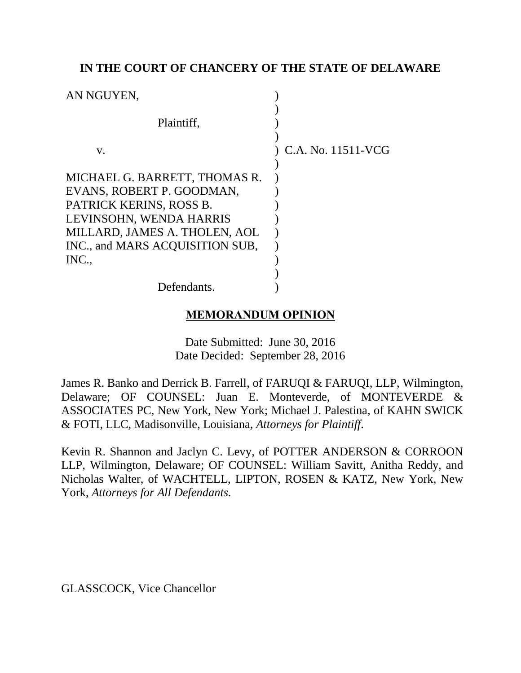## **IN THE COURT OF CHANCERY OF THE STATE OF DELAWARE**

| AN NGUYEN,                                                 |                      |
|------------------------------------------------------------|----------------------|
| Plaintiff,                                                 |                      |
| V.                                                         | ) C.A. No. 11511-VCG |
| MICHAEL G. BARRETT, THOMAS R.<br>EVANS, ROBERT P. GOODMAN, |                      |
| PATRICK KERINS, ROSS B.                                    |                      |
| LEVINSOHN, WENDA HARRIS<br>MILLARD, JAMES A. THOLEN, AOL   |                      |
| INC., and MARS ACQUISITION SUB.<br>INC.,                   |                      |
| Defendants.                                                |                      |

## **MEMORANDUM OPINION**

Date Submitted: June 30, 2016 Date Decided: September 28, 2016

James R. Banko and Derrick B. Farrell, of FARUQI & FARUQI, LLP, Wilmington, Delaware; OF COUNSEL: Juan E. Monteverde, of MONTEVERDE & ASSOCIATES PC, New York, New York; Michael J. Palestina, of KAHN SWICK & FOTI, LLC, Madisonville, Louisiana, *Attorneys for Plaintiff*.

Kevin R. Shannon and Jaclyn C. Levy, of POTTER ANDERSON & CORROON LLP, Wilmington, Delaware; OF COUNSEL: William Savitt, Anitha Reddy, and Nicholas Walter, of WACHTELL, LIPTON, ROSEN & KATZ, New York, New York, *Attorneys for All Defendants.*

GLASSCOCK, Vice Chancellor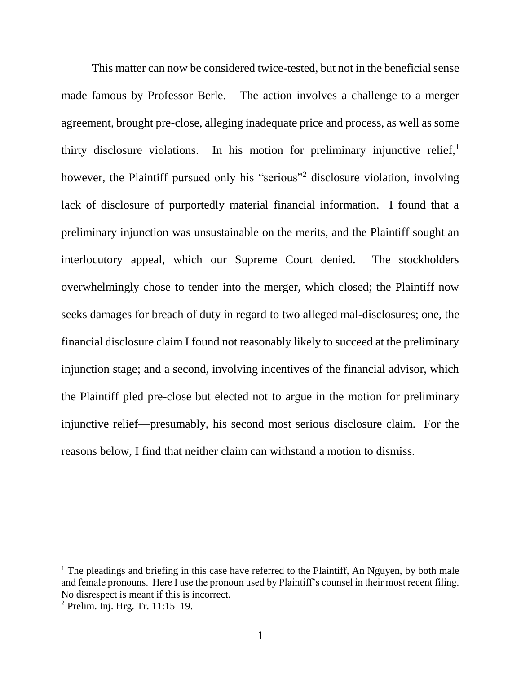This matter can now be considered twice-tested, but not in the beneficial sense made famous by Professor Berle. The action involves a challenge to a merger agreement, brought pre-close, alleging inadequate price and process, as well as some thirty disclosure violations. In his motion for preliminary injunctive relief, $<sup>1</sup>$ </sup> however, the Plaintiff pursued only his "serious"<sup>2</sup> disclosure violation, involving lack of disclosure of purportedly material financial information. I found that a preliminary injunction was unsustainable on the merits, and the Plaintiff sought an interlocutory appeal, which our Supreme Court denied. The stockholders overwhelmingly chose to tender into the merger, which closed; the Plaintiff now seeks damages for breach of duty in regard to two alleged mal-disclosures; one, the financial disclosure claim I found not reasonably likely to succeed at the preliminary injunction stage; and a second, involving incentives of the financial advisor, which the Plaintiff pled pre-close but elected not to argue in the motion for preliminary injunctive relief—presumably, his second most serious disclosure claim. For the reasons below, I find that neither claim can withstand a motion to dismiss.

 $<sup>1</sup>$  The pleadings and briefing in this case have referred to the Plaintiff, An Nguyen, by both male</sup> and female pronouns. Here I use the pronoun used by Plaintiff's counsel in their most recent filing. No disrespect is meant if this is incorrect.

<sup>2</sup> Prelim. Inj. Hrg. Tr. 11:15–19.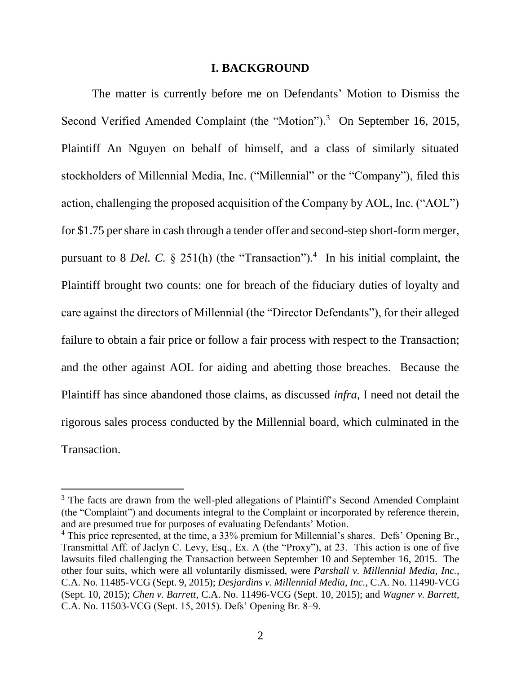#### **I. BACKGROUND**

The matter is currently before me on Defendants' Motion to Dismiss the Second Verified Amended Complaint (the "Motion").<sup>3</sup> On September 16, 2015, Plaintiff An Nguyen on behalf of himself, and a class of similarly situated stockholders of Millennial Media, Inc. ("Millennial" or the "Company"), filed this action, challenging the proposed acquisition of the Company by AOL, Inc. ("AOL") for \$1.75 per share in cash through a tender offer and second-step short-form merger, pursuant to 8 *Del.* C.  $\S$  251(h) (the "Transaction").<sup>4</sup> In his initial complaint, the Plaintiff brought two counts: one for breach of the fiduciary duties of loyalty and care against the directors of Millennial (the "Director Defendants"), for their alleged failure to obtain a fair price or follow a fair process with respect to the Transaction; and the other against AOL for aiding and abetting those breaches. Because the Plaintiff has since abandoned those claims, as discussed *infra*, I need not detail the rigorous sales process conducted by the Millennial board, which culminated in the Transaction.

<sup>&</sup>lt;sup>3</sup> The facts are drawn from the well-pled allegations of Plaintiff's Second Amended Complaint (the "Complaint") and documents integral to the Complaint or incorporated by reference therein, and are presumed true for purposes of evaluating Defendants' Motion.

<sup>&</sup>lt;sup>4</sup> This price represented, at the time, a 33% premium for Millennial's shares. Defs' Opening Br., Transmittal Aff. of Jaclyn C. Levy, Esq., Ex. A (the "Proxy"), at 23. This action is one of five lawsuits filed challenging the Transaction between September 10 and September 16, 2015. The other four suits, which were all voluntarily dismissed, were *Parshall v. Millennial Media, Inc.*, C.A. No. 11485-VCG (Sept. 9, 2015); *Desjardins v. Millennial Media, Inc.*, C.A. No. 11490-VCG (Sept. 10, 2015); *Chen v. Barrett*, C.A. No. 11496-VCG (Sept. 10, 2015); and *Wagner v. Barrett*, C.A. No. 11503-VCG (Sept. 15, 2015). Defs' Opening Br. 8–9.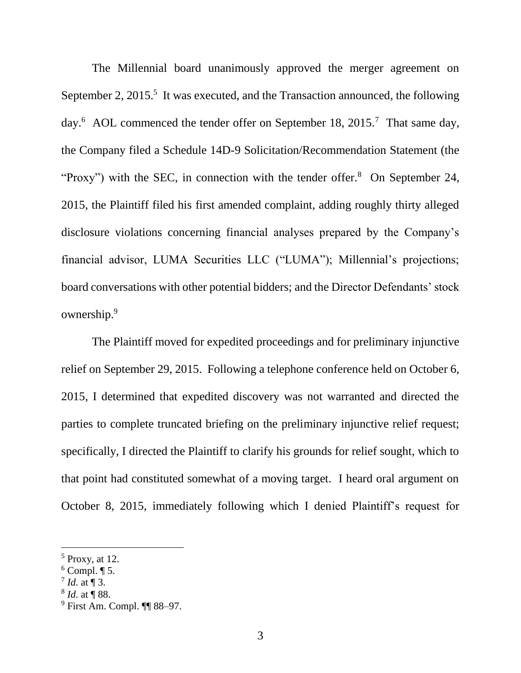The Millennial board unanimously approved the merger agreement on September 2,  $2015$ <sup>5</sup>. It was executed, and the Transaction announced, the following day.<sup>6</sup> AOL commenced the tender offer on September 18, 2015.<sup>7</sup> That same day, the Company filed a Schedule 14D-9 Solicitation/Recommendation Statement (the "Proxy") with the SEC, in connection with the tender offer. $8$  On September 24, 2015, the Plaintiff filed his first amended complaint, adding roughly thirty alleged disclosure violations concerning financial analyses prepared by the Company's financial advisor, LUMA Securities LLC ("LUMA"); Millennial's projections; board conversations with other potential bidders; and the Director Defendants' stock ownership.<sup>9</sup>

The Plaintiff moved for expedited proceedings and for preliminary injunctive relief on September 29, 2015. Following a telephone conference held on October 6, 2015, I determined that expedited discovery was not warranted and directed the parties to complete truncated briefing on the preliminary injunctive relief request; specifically, I directed the Plaintiff to clarify his grounds for relief sought, which to that point had constituted somewhat of a moving target. I heard oral argument on October 8, 2015, immediately following which I denied Plaintiff's request for

 $<sup>5</sup>$  Proxy, at 12.</sup>

 $6$  Compl. ¶ 5.

 $^7$  *Id.* at ¶ 3.

<sup>8</sup> *Id.* at ¶ 88.

<sup>9</sup> First Am. Compl. ¶¶ 88–97.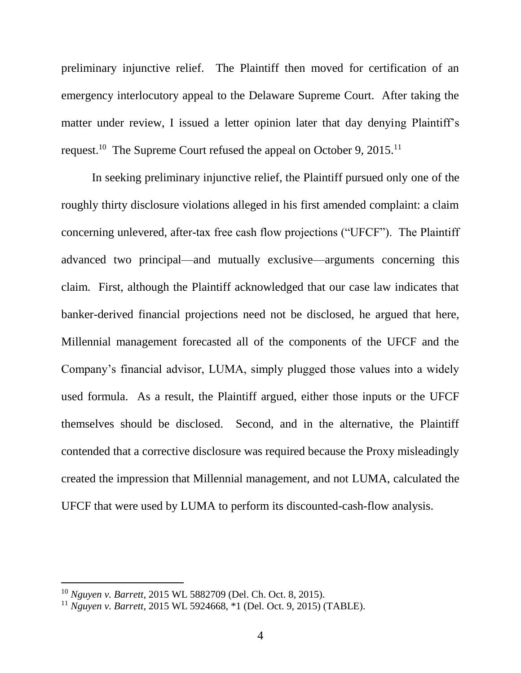preliminary injunctive relief. The Plaintiff then moved for certification of an emergency interlocutory appeal to the Delaware Supreme Court. After taking the matter under review, I issued a letter opinion later that day denying Plaintiff's request.<sup>10</sup> The Supreme Court refused the appeal on October 9, 2015.<sup>11</sup>

In seeking preliminary injunctive relief, the Plaintiff pursued only one of the roughly thirty disclosure violations alleged in his first amended complaint: a claim concerning unlevered, after-tax free cash flow projections ("UFCF"). The Plaintiff advanced two principal—and mutually exclusive—arguments concerning this claim. First, although the Plaintiff acknowledged that our case law indicates that banker-derived financial projections need not be disclosed, he argued that here, Millennial management forecasted all of the components of the UFCF and the Company's financial advisor, LUMA, simply plugged those values into a widely used formula. As a result, the Plaintiff argued, either those inputs or the UFCF themselves should be disclosed. Second, and in the alternative, the Plaintiff contended that a corrective disclosure was required because the Proxy misleadingly created the impression that Millennial management, and not LUMA, calculated the UFCF that were used by LUMA to perform its discounted-cash-flow analysis.

<sup>10</sup> *Nguyen v. Barrett*, 2015 WL 5882709 (Del. Ch. Oct. 8, 2015).

<sup>11</sup> *Nguyen v. Barrett*, 2015 WL 5924668, \*1 (Del. Oct. 9, 2015) (TABLE).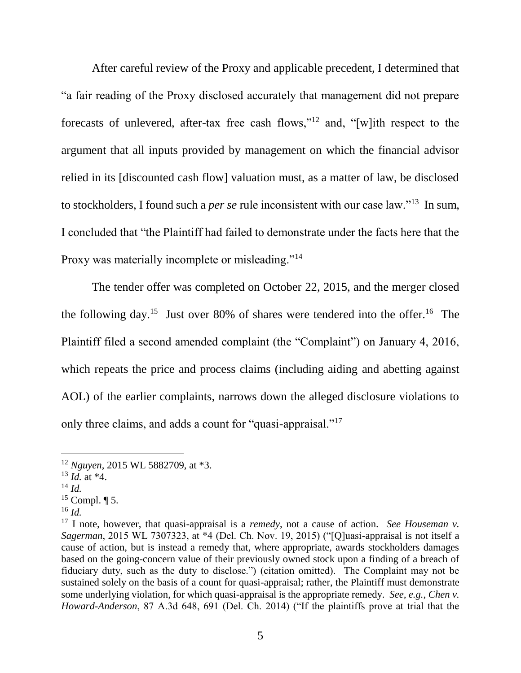After careful review of the Proxy and applicable precedent, I determined that "a fair reading of the Proxy disclosed accurately that management did not prepare forecasts of unlevered, after-tax free cash flows,"<sup>12</sup> and, "[w]ith respect to the argument that all inputs provided by management on which the financial advisor relied in its [discounted cash flow] valuation must, as a matter of law, be disclosed to stockholders, I found such a *per se* rule inconsistent with our case law."<sup>13</sup> In sum, I concluded that "the Plaintiff had failed to demonstrate under the facts here that the Proxy was materially incomplete or misleading."<sup>14</sup>

The tender offer was completed on October 22, 2015, and the merger closed the following day.<sup>15</sup> Just over 80% of shares were tendered into the offer.<sup>16</sup> The Plaintiff filed a second amended complaint (the "Complaint") on January 4, 2016, which repeats the price and process claims (including aiding and abetting against AOL) of the earlier complaints, narrows down the alleged disclosure violations to only three claims, and adds a count for "quasi-appraisal."<sup>17</sup>

- <sup>13</sup> *Id.* at \*4.
- <sup>14</sup> *Id.*

- $15$  Compl.  $\P$  5.
- $^{16}$  *Id.*

<sup>12</sup> *Nguyen*, 2015 WL 5882709, at \*3.

<sup>17</sup> I note, however, that quasi-appraisal is a *remedy*, not a cause of action. *See Houseman v. Sagerman*, 2015 WL 7307323, at \*4 (Del. Ch. Nov. 19, 2015) ("[Q]uasi-appraisal is not itself a cause of action, but is instead a remedy that, where appropriate, awards stockholders damages based on the going-concern value of their previously owned stock upon a finding of a breach of fiduciary duty, such as the duty to disclose.") (citation omitted). The Complaint may not be sustained solely on the basis of a count for quasi-appraisal; rather, the Plaintiff must demonstrate some underlying violation, for which quasi-appraisal is the appropriate remedy. *See, e.g.*, *Chen v. Howard-Anderson*, 87 A.3d 648, 691 (Del. Ch. 2014) ("If the plaintiffs prove at trial that the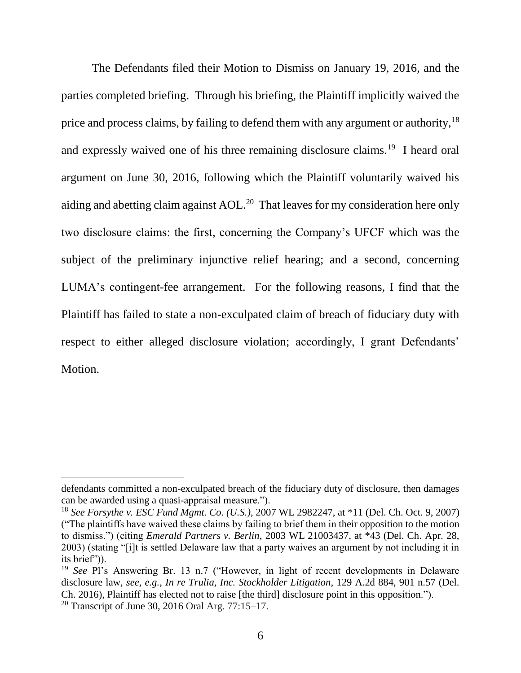The Defendants filed their Motion to Dismiss on January 19, 2016, and the parties completed briefing. Through his briefing, the Plaintiff implicitly waived the price and process claims, by failing to defend them with any argument or authority,<sup>18</sup> and expressly waived one of his three remaining disclosure claims.<sup>19</sup> I heard oral argument on June 30, 2016, following which the Plaintiff voluntarily waived his aiding and abetting claim against AOL.<sup>20</sup> That leaves for my consideration here only two disclosure claims: the first, concerning the Company's UFCF which was the subject of the preliminary injunctive relief hearing; and a second, concerning LUMA's contingent-fee arrangement. For the following reasons, I find that the Plaintiff has failed to state a non-exculpated claim of breach of fiduciary duty with respect to either alleged disclosure violation; accordingly, I grant Defendants' Motion.

defendants committed a non-exculpated breach of the fiduciary duty of disclosure, then damages can be awarded using a quasi-appraisal measure.").

<sup>18</sup> *See Forsythe v. ESC Fund Mgmt. Co. (U.S.)*, 2007 WL 2982247, at \*11 (Del. Ch. Oct. 9, 2007) ("The plaintiffs have waived these claims by failing to brief them in their opposition to the motion to dismiss.") (citing *Emerald Partners v. Berlin*, 2003 WL 21003437, at \*43 (Del. Ch. Apr. 28, 2003) (stating "[i]t is settled Delaware law that a party waives an argument by not including it in its brief")).

<sup>19</sup> *See* Pl's Answering Br. 13 n.7 ("However, in light of recent developments in Delaware disclosure law, *see, e.g.*, *In re Trulia, Inc. Stockholder Litigation*, 129 A.2d 884, 901 n.57 (Del. Ch. 2016), Plaintiff has elected not to raise [the third] disclosure point in this opposition.").

<sup>20</sup> Transcript of June 30, 2016 Oral Arg. 77:15–17.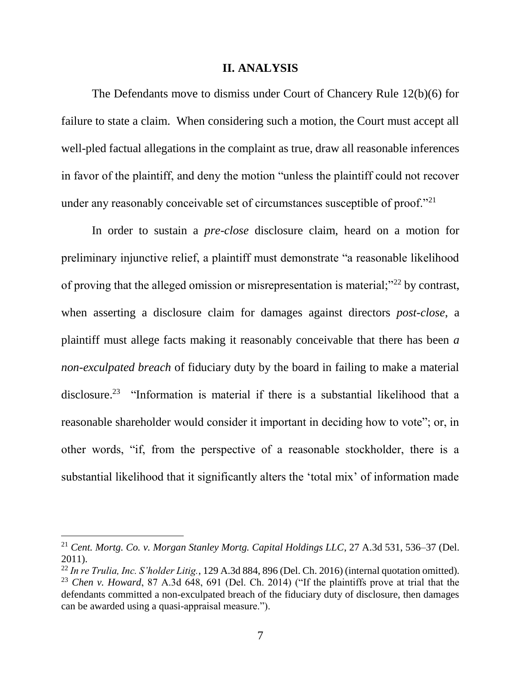#### **II. ANALYSIS**

The Defendants move to dismiss under Court of Chancery Rule 12(b)(6) for failure to state a claim. When considering such a motion, the Court must accept all well-pled factual allegations in the complaint as true, draw all reasonable inferences in favor of the plaintiff, and deny the motion "unless the plaintiff could not recover under any reasonably conceivable set of circumstances susceptible of proof."<sup>21</sup>

In order to sustain a *pre-close* disclosure claim, heard on a motion for preliminary injunctive relief, a plaintiff must demonstrate "a reasonable likelihood of proving that the alleged omission or misrepresentation is material;"<sup>22</sup> by contrast, when asserting a disclosure claim for damages against directors *post-close*, a plaintiff must allege facts making it reasonably conceivable that there has been *a non-exculpated breach* of fiduciary duty by the board in failing to make a material disclosure.<sup>23</sup> "Information is material if there is a substantial likelihood that a reasonable shareholder would consider it important in deciding how to vote"; or, in other words, "if, from the perspective of a reasonable stockholder, there is a substantial likelihood that it significantly alters the 'total mix' of information made

<sup>21</sup> *Cent. Mortg. Co. v. Morgan Stanley Mortg. Capital Holdings LLC*, 27 A.3d 531, 536–37 (Del. 2011).

<sup>22</sup> *In re Trulia, Inc. S'holder Litig.*, 129 A.3d 884, 896 (Del. Ch. 2016) (internal quotation omitted). <sup>23</sup> *Chen v. Howard*, 87 A.3d 648, 691 (Del. Ch. 2014) ("If the plaintiffs prove at trial that the

defendants committed a non-exculpated breach of the fiduciary duty of disclosure, then damages can be awarded using a quasi-appraisal measure.").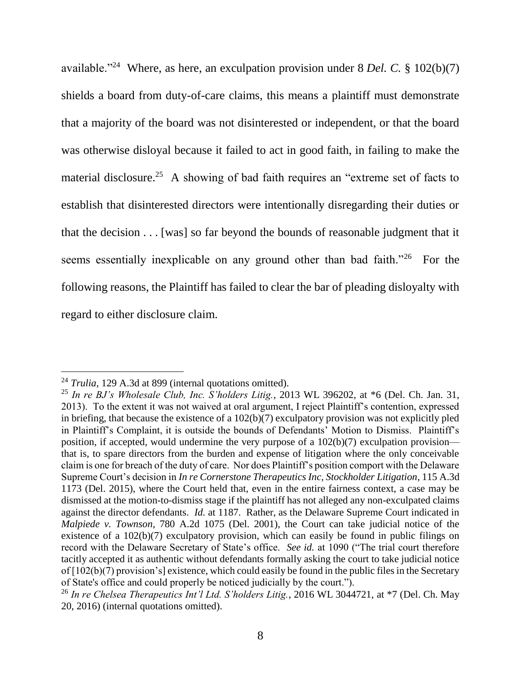available."<sup>24</sup> Where, as here, an exculpation provision under 8 *Del. C.* § 102(b)(7) shields a board from duty-of-care claims, this means a plaintiff must demonstrate that a majority of the board was not disinterested or independent, or that the board was otherwise disloyal because it failed to act in good faith, in failing to make the material disclosure.<sup>25</sup> A showing of bad faith requires an "extreme set of facts to establish that disinterested directors were intentionally disregarding their duties or that the decision . . . [was] so far beyond the bounds of reasonable judgment that it seems essentially inexplicable on any ground other than bad faith."26 For the following reasons, the Plaintiff has failed to clear the bar of pleading disloyalty with regard to either disclosure claim.

<sup>&</sup>lt;sup>24</sup> *Trulia*, 129 A.3d at 899 (internal quotations omitted).

<sup>25</sup> *In re BJ's Wholesale Club, Inc. S'holders Litig.*, 2013 WL 396202, at \*6 (Del. Ch. Jan. 31, 2013). To the extent it was not waived at oral argument, I reject Plaintiff's contention, expressed in briefing, that because the existence of a 102(b)(7) exculpatory provision was not explicitly pled in Plaintiff's Complaint, it is outside the bounds of Defendants' Motion to Dismiss. Plaintiff's position, if accepted, would undermine the very purpose of a 102(b)(7) exculpation provision that is, to spare directors from the burden and expense of litigation where the only conceivable claim is one for breach of the duty of care. Nor does Plaintiff's position comport with the Delaware Supreme Court's decision in *In re Cornerstone Therapeutics Inc, Stockholder Litigation*, 115 A.3d 1173 (Del. 2015), where the Court held that, even in the entire fairness context, a case may be dismissed at the motion-to-dismiss stage if the plaintiff has not alleged any non-exculpated claims against the director defendants. *Id.* at 1187. Rather, as the Delaware Supreme Court indicated in *Malpiede v. Townson*, 780 A.2d 1075 (Del. 2001), the Court can take judicial notice of the existence of a 102(b)(7) exculpatory provision, which can easily be found in public filings on record with the Delaware Secretary of State's office. *See id.* at 1090 ("The trial court therefore tacitly accepted it as authentic without defendants formally asking the court to take judicial notice of [102(b)(7) provision's] existence, which could easily be found in the public files in the Secretary of State's office and could properly be noticed judicially by the court.").

<sup>26</sup> *In re Chelsea Therapeutics Int'l Ltd. S'holders Litig.*, 2016 WL 3044721, at \*7 (Del. Ch. May 20, 2016) (internal quotations omitted).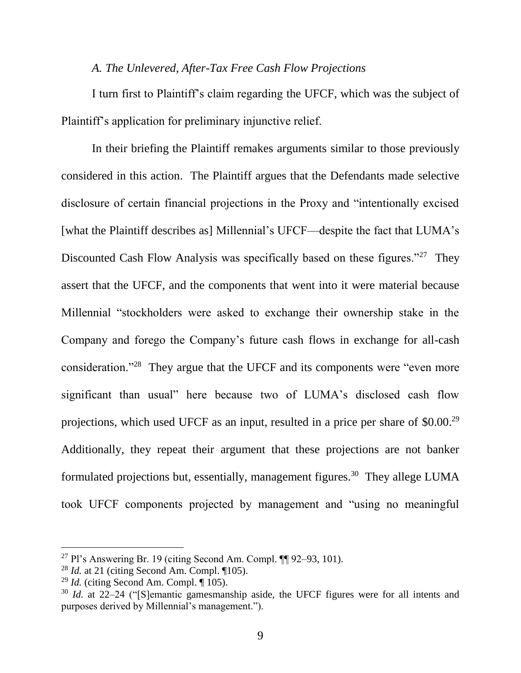### *A. The Unlevered, After-Tax Free Cash Flow Projections*

I turn first to Plaintiff's claim regarding the UFCF, which was the subject of Plaintiff's application for preliminary injunctive relief.

In their briefing the Plaintiff remakes arguments similar to those previously considered in this action. The Plaintiff argues that the Defendants made selective disclosure of certain financial projections in the Proxy and "intentionally excised [what the Plaintiff describes as] Millennial's UFCF—despite the fact that LUMA's Discounted Cash Flow Analysis was specifically based on these figures."<sup>27</sup> They assert that the UFCF, and the components that went into it were material because Millennial "stockholders were asked to exchange their ownership stake in the Company and forego the Company's future cash flows in exchange for all-cash consideration."<sup>28</sup> They argue that the UFCF and its components were "even more significant than usual" here because two of LUMA's disclosed cash flow projections, which used UFCF as an input, resulted in a price per share of \$0.00.<sup>29</sup> Additionally, they repeat their argument that these projections are not banker formulated projections but, essentially, management figures.<sup>30</sup> They allege LUMA took UFCF components projected by management and "using no meaningful

<sup>&</sup>lt;sup>27</sup> Pl's Answering Br. 19 (citing Second Am. Compl.  $\P$  92–93, 101).

<sup>28</sup> *Id.* at 21 (citing Second Am. Compl. ¶105).

 $^{29}$  *Id.* (citing Second Am. Compl. ¶ 105).

<sup>30</sup> *Id.* at 22–24 ("[S]emantic gamesmanship aside, the UFCF figures were for all intents and purposes derived by Millennial's management.").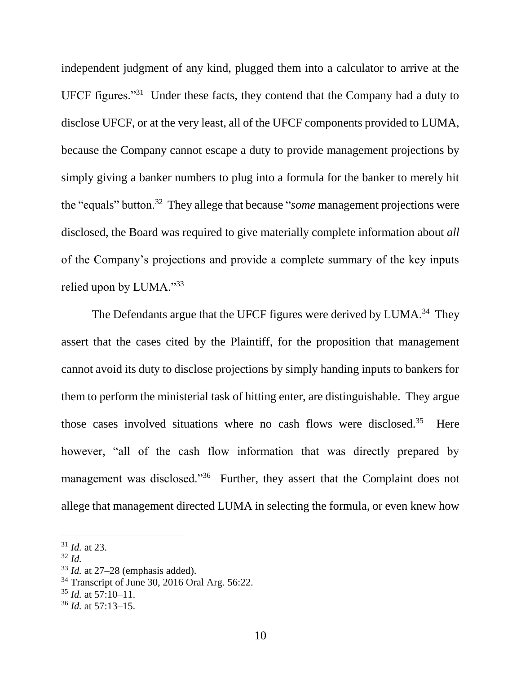independent judgment of any kind, plugged them into a calculator to arrive at the UFCF figures."<sup>31</sup> Under these facts, they contend that the Company had a duty to disclose UFCF, or at the very least, all of the UFCF components provided to LUMA, because the Company cannot escape a duty to provide management projections by simply giving a banker numbers to plug into a formula for the banker to merely hit the "equals" button.<sup>32</sup> They allege that because "*some* management projections were disclosed, the Board was required to give materially complete information about *all* of the Company's projections and provide a complete summary of the key inputs relied upon by LUMA."33

The Defendants argue that the UFCF figures were derived by LUMA.<sup>34</sup> They assert that the cases cited by the Plaintiff, for the proposition that management cannot avoid its duty to disclose projections by simply handing inputs to bankers for them to perform the ministerial task of hitting enter, are distinguishable. They argue those cases involved situations where no cash flows were disclosed.<sup>35</sup> Here however, "all of the cash flow information that was directly prepared by management was disclosed."<sup>36</sup> Further, they assert that the Complaint does not allege that management directed LUMA in selecting the formula, or even knew how

<sup>31</sup> *Id.* at 23.

 $32$  *Id.* 

<sup>33</sup> *Id.* at 27–28 (emphasis added).

<sup>34</sup> Transcript of June 30, 2016 Oral Arg. 56:22.

<sup>35</sup> *Id.* at 57:10–11.

<sup>36</sup> *Id.* at 57:13–15.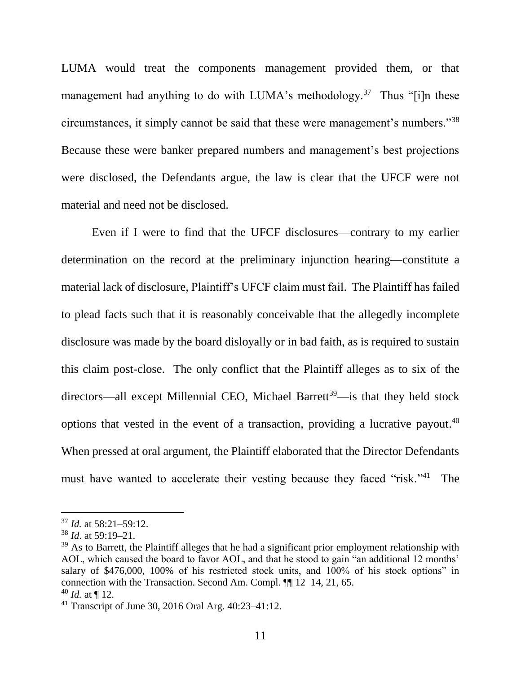LUMA would treat the components management provided them, or that management had anything to do with LUMA's methodology.<sup>37</sup> Thus "[i]n these circumstances, it simply cannot be said that these were management's numbers."<sup>38</sup> Because these were banker prepared numbers and management's best projections were disclosed, the Defendants argue, the law is clear that the UFCF were not material and need not be disclosed.

Even if I were to find that the UFCF disclosures—contrary to my earlier determination on the record at the preliminary injunction hearing—constitute a material lack of disclosure, Plaintiff's UFCF claim must fail. The Plaintiff has failed to plead facts such that it is reasonably conceivable that the allegedly incomplete disclosure was made by the board disloyally or in bad faith, as is required to sustain this claim post-close. The only conflict that the Plaintiff alleges as to six of the directors—all except Millennial CEO, Michael Barrett<sup>39</sup>—is that they held stock options that vested in the event of a transaction, providing a lucrative payout. 40 When pressed at oral argument, the Plaintiff elaborated that the Director Defendants must have wanted to accelerate their vesting because they faced "risk."<sup>41</sup> The

<sup>37</sup> *Id.* at 58:21–59:12.

<sup>38</sup> *Id*. at 59:19–21.

 $39$  As to Barrett, the Plaintiff alleges that he had a significant prior employment relationship with AOL, which caused the board to favor AOL, and that he stood to gain "an additional 12 months' salary of \$476,000, 100% of his restricted stock units, and 100% of his stock options" in connection with the Transaction. Second Am. Compl. ¶¶ 12–14, 21, 65.

 $40$  *Id.* at ¶ 12.

<sup>41</sup> Transcript of June 30, 2016 Oral Arg. 40:23–41:12.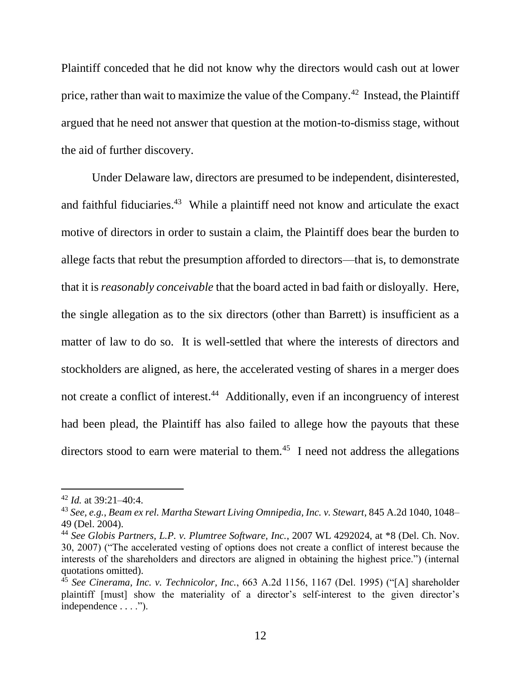Plaintiff conceded that he did not know why the directors would cash out at lower price, rather than wait to maximize the value of the Company.<sup>42</sup> Instead, the Plaintiff argued that he need not answer that question at the motion-to-dismiss stage, without the aid of further discovery.

Under Delaware law, directors are presumed to be independent, disinterested, and faithful fiduciaries.<sup>43</sup> While a plaintiff need not know and articulate the exact motive of directors in order to sustain a claim, the Plaintiff does bear the burden to allege facts that rebut the presumption afforded to directors—that is, to demonstrate that it is *reasonably conceivable* that the board acted in bad faith or disloyally. Here, the single allegation as to the six directors (other than Barrett) is insufficient as a matter of law to do so. It is well-settled that where the interests of directors and stockholders are aligned, as here, the accelerated vesting of shares in a merger does not create a conflict of interest.<sup>44</sup> Additionally, even if an incongruency of interest had been plead, the Plaintiff has also failed to allege how the payouts that these directors stood to earn were material to them.<sup>45</sup> I need not address the allegations

<sup>42</sup> *Id.* at 39:21–40:4.

<sup>43</sup> *See, e.g.*, *Beam ex rel. Martha Stewart Living Omnipedia, Inc. v. Stewart*, 845 A.2d 1040, 1048– 49 (Del. 2004).

<sup>44</sup> *See Globis Partners, L.P. v. Plumtree Software, Inc.*, 2007 WL 4292024, at \*8 (Del. Ch. Nov. 30, 2007) ("The accelerated vesting of options does not create a conflict of interest because the interests of the shareholders and directors are aligned in obtaining the highest price.") (internal quotations omitted).

<sup>45</sup> *See Cinerama, Inc. v. Technicolor, Inc.*, 663 A.2d 1156, 1167 (Del. 1995) ("[A] shareholder plaintiff [must] show the materiality of a director's self-interest to the given director's independence . . . .").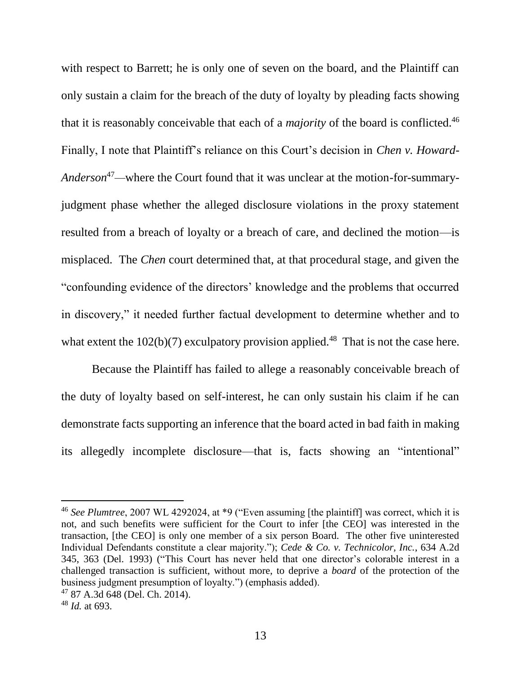with respect to Barrett; he is only one of seven on the board, and the Plaintiff can only sustain a claim for the breach of the duty of loyalty by pleading facts showing that it is reasonably conceivable that each of a *majority* of the board is conflicted.<sup>46</sup> Finally, I note that Plaintiff's reliance on this Court's decision in *Chen v. Howard-Anderson*47*—*where the Court found that it was unclear at the motion-for-summaryjudgment phase whether the alleged disclosure violations in the proxy statement resulted from a breach of loyalty or a breach of care, and declined the motion—is misplaced. The *Chen* court determined that, at that procedural stage, and given the "confounding evidence of the directors' knowledge and the problems that occurred in discovery," it needed further factual development to determine whether and to what extent the  $102(b)(7)$  exculpatory provision applied.<sup>48</sup> That is not the case here.

Because the Plaintiff has failed to allege a reasonably conceivable breach of the duty of loyalty based on self-interest, he can only sustain his claim if he can demonstrate facts supporting an inference that the board acted in bad faith in making its allegedly incomplete disclosure—that is, facts showing an "intentional"

<sup>46</sup> *See Plumtree*, 2007 WL 4292024, at \*9 ("Even assuming [the plaintiff] was correct, which it is not, and such benefits were sufficient for the Court to infer [the CEO] was interested in the transaction, [the CEO] is only one member of a six person Board. The other five uninterested Individual Defendants constitute a clear majority."); *Cede & Co. v. Technicolor, Inc.*, 634 A.2d 345, 363 (Del. 1993) ("This Court has never held that one director's colorable interest in a challenged transaction is sufficient, without more, to deprive a *board* of the protection of the business judgment presumption of loyalty.") (emphasis added).

<sup>47</sup> 87 A.3d 648 (Del. Ch. 2014).

<sup>48</sup> *Id.* at 693.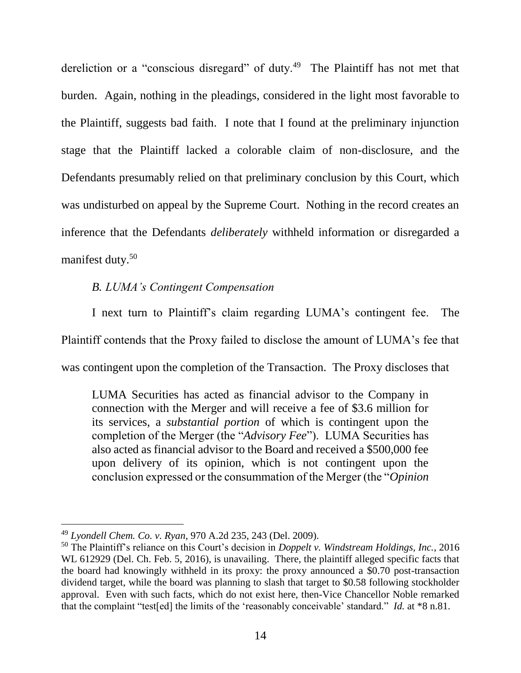dereliction or a "conscious disregard" of duty.<sup>49</sup> The Plaintiff has not met that burden. Again, nothing in the pleadings, considered in the light most favorable to the Plaintiff, suggests bad faith. I note that I found at the preliminary injunction stage that the Plaintiff lacked a colorable claim of non-disclosure, and the Defendants presumably relied on that preliminary conclusion by this Court, which was undisturbed on appeal by the Supreme Court. Nothing in the record creates an inference that the Defendants *deliberately* withheld information or disregarded a manifest duty. 50

## *B. LUMA's Contingent Compensation*

I next turn to Plaintiff's claim regarding LUMA's contingent fee. The Plaintiff contends that the Proxy failed to disclose the amount of LUMA's fee that was contingent upon the completion of the Transaction. The Proxy discloses that

LUMA Securities has acted as financial advisor to the Company in connection with the Merger and will receive a fee of \$3.6 million for its services, a *substantial portion* of which is contingent upon the completion of the Merger (the "*Advisory Fee*"). LUMA Securities has also acted as financial advisor to the Board and received a \$500,000 fee upon delivery of its opinion, which is not contingent upon the conclusion expressed or the consummation of the Merger (the "*Opinion* 

<sup>49</sup> *Lyondell Chem. Co. v. Ryan*, 970 A.2d 235, 243 (Del. 2009).

<sup>50</sup> The Plaintiff's reliance on this Court's decision in *Doppelt v. Windstream Holdings, Inc.*, 2016 WL 612929 (Del. Ch. Feb. 5, 2016), is unavailing. There, the plaintiff alleged specific facts that the board had knowingly withheld in its proxy: the proxy announced a \$0.70 post-transaction dividend target, while the board was planning to slash that target to \$0.58 following stockholder approval. Even with such facts, which do not exist here, then-Vice Chancellor Noble remarked that the complaint "test[ed] the limits of the 'reasonably conceivable' standard." *Id.* at \*8 n.81.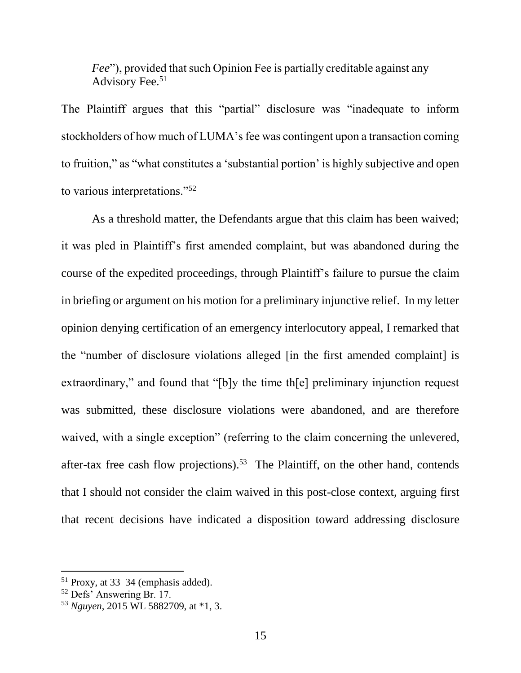*Fee*"), provided that such Opinion Fee is partially creditable against any Advisory Fee.<sup>51</sup>

The Plaintiff argues that this "partial" disclosure was "inadequate to inform stockholders of how much of LUMA's fee was contingent upon a transaction coming to fruition," as "what constitutes a 'substantial portion' is highly subjective and open to various interpretations."<sup>52</sup>

As a threshold matter, the Defendants argue that this claim has been waived; it was pled in Plaintiff's first amended complaint, but was abandoned during the course of the expedited proceedings, through Plaintiff's failure to pursue the claim in briefing or argument on his motion for a preliminary injunctive relief. In my letter opinion denying certification of an emergency interlocutory appeal, I remarked that the "number of disclosure violations alleged [in the first amended complaint] is extraordinary," and found that "[b]y the time th[e] preliminary injunction request was submitted, these disclosure violations were abandoned, and are therefore waived, with a single exception" (referring to the claim concerning the unlevered, after-tax free cash flow projections).<sup>53</sup> The Plaintiff, on the other hand, contends that I should not consider the claim waived in this post-close context, arguing first that recent decisions have indicated a disposition toward addressing disclosure

<sup>51</sup> Proxy, at 33–34 (emphasis added).

<sup>52</sup> Defs' Answering Br. 17.

<sup>53</sup> *Nguyen*, 2015 WL 5882709, at \*1, 3.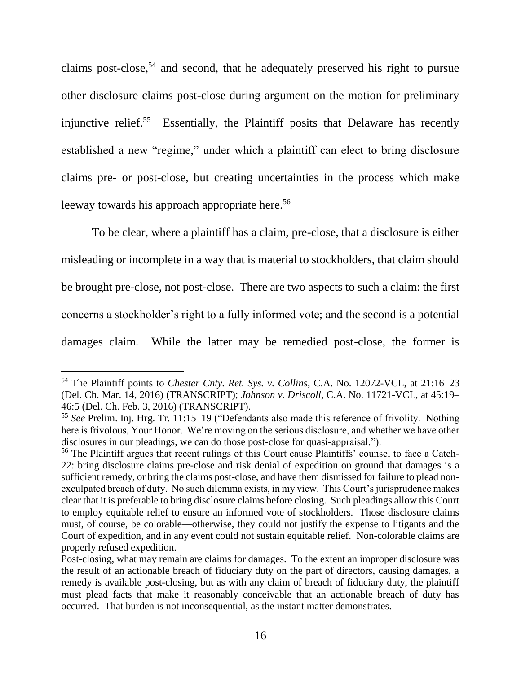claims post-close, <sup>54</sup> and second, that he adequately preserved his right to pursue other disclosure claims post-close during argument on the motion for preliminary injunctive relief.<sup>55</sup> Essentially, the Plaintiff posits that Delaware has recently established a new "regime," under which a plaintiff can elect to bring disclosure claims pre- or post-close, but creating uncertainties in the process which make leeway towards his approach appropriate here.<sup>56</sup>

To be clear, where a plaintiff has a claim, pre-close, that a disclosure is either misleading or incomplete in a way that is material to stockholders, that claim should be brought pre-close, not post-close. There are two aspects to such a claim: the first concerns a stockholder's right to a fully informed vote; and the second is a potential damages claim. While the latter may be remedied post-close, the former is

<sup>54</sup> The Plaintiff points to *Chester Cnty. Ret. Sys. v. Collins*, C.A. No. 12072-VCL, at 21:16–23 (Del. Ch. Mar. 14, 2016) (TRANSCRIPT); *Johnson v. Driscoll*, C.A. No. 11721-VCL, at 45:19– 46:5 (Del. Ch. Feb. 3, 2016) (TRANSCRIPT).

<sup>55</sup> *See* Prelim. Inj. Hrg. Tr. 11:15–19 ("Defendants also made this reference of frivolity. Nothing here is frivolous, Your Honor. We're moving on the serious disclosure, and whether we have other disclosures in our pleadings, we can do those post-close for quasi-appraisal.").

<sup>56</sup> The Plaintiff argues that recent rulings of this Court cause Plaintiffs' counsel to face a Catch-22: bring disclosure claims pre-close and risk denial of expedition on ground that damages is a sufficient remedy, or bring the claims post-close, and have them dismissed for failure to plead nonexculpated breach of duty. No such dilemma exists, in my view. This Court's jurisprudence makes clear that it is preferable to bring disclosure claims before closing. Such pleadings allow this Court to employ equitable relief to ensure an informed vote of stockholders. Those disclosure claims must, of course, be colorable—otherwise, they could not justify the expense to litigants and the Court of expedition, and in any event could not sustain equitable relief. Non-colorable claims are properly refused expedition.

Post-closing, what may remain are claims for damages. To the extent an improper disclosure was the result of an actionable breach of fiduciary duty on the part of directors, causing damages, a remedy is available post-closing, but as with any claim of breach of fiduciary duty, the plaintiff must plead facts that make it reasonably conceivable that an actionable breach of duty has occurred. That burden is not inconsequential, as the instant matter demonstrates.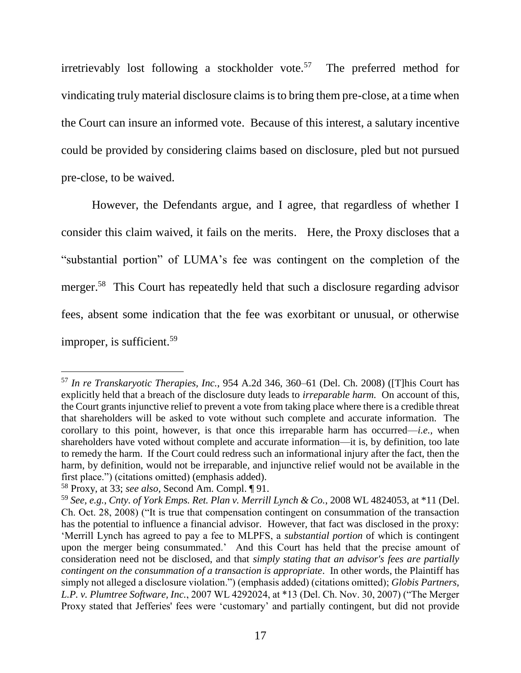irretrievably lost following a stockholder vote.<sup>57</sup> The preferred method for vindicating truly material disclosure claims is to bring them pre-close, at a time when the Court can insure an informed vote. Because of this interest, a salutary incentive could be provided by considering claims based on disclosure, pled but not pursued pre-close, to be waived.

However, the Defendants argue, and I agree, that regardless of whether I consider this claim waived, it fails on the merits. Here, the Proxy discloses that a "substantial portion" of LUMA's fee was contingent on the completion of the merger.<sup>58</sup> This Court has repeatedly held that such a disclosure regarding advisor fees, absent some indication that the fee was exorbitant or unusual, or otherwise improper, is sufficient.<sup>59</sup>

<sup>57</sup> *In re Transkaryotic Therapies, Inc.*, 954 A.2d 346, 360–61 (Del. Ch. 2008) ([T]his Court has explicitly held that a breach of the disclosure duty leads to *irreparable harm.* On account of this, the Court grants injunctive relief to prevent a vote from taking place where there is a credible threat that shareholders will be asked to vote without such complete and accurate information. The corollary to this point, however, is that once this irreparable harm has occurred—*i.e.,* when shareholders have voted without complete and accurate information—it is, by definition, too late to remedy the harm. If the Court could redress such an informational injury after the fact, then the harm, by definition, would not be irreparable, and injunctive relief would not be available in the first place.") (citations omitted) (emphasis added).

<sup>58</sup> Proxy, at 33; *see also*, Second Am. Compl. ¶ 91.

<sup>59</sup> *See, e.g.*, *Cnty. of York Emps. Ret. Plan v. Merrill Lynch & Co.*, 2008 WL 4824053, at \*11 (Del. Ch. Oct. 28, 2008) ("It is true that compensation contingent on consummation of the transaction has the potential to influence a financial advisor. However, that fact was disclosed in the proxy: 'Merrill Lynch has agreed to pay a fee to MLPFS, a *substantial portion* of which is contingent upon the merger being consummated.' And this Court has held that the precise amount of consideration need not be disclosed, and that *simply stating that an advisor's fees are partially contingent on the consummation of a transaction is appropriate*. In other words, the Plaintiff has simply not alleged a disclosure violation.") (emphasis added) (citations omitted); *Globis Partners, L.P. v. Plumtree Software, Inc.*, 2007 WL 4292024, at \*13 (Del. Ch. Nov. 30, 2007) ("The Merger Proxy stated that Jefferies' fees were 'customary' and partially contingent, but did not provide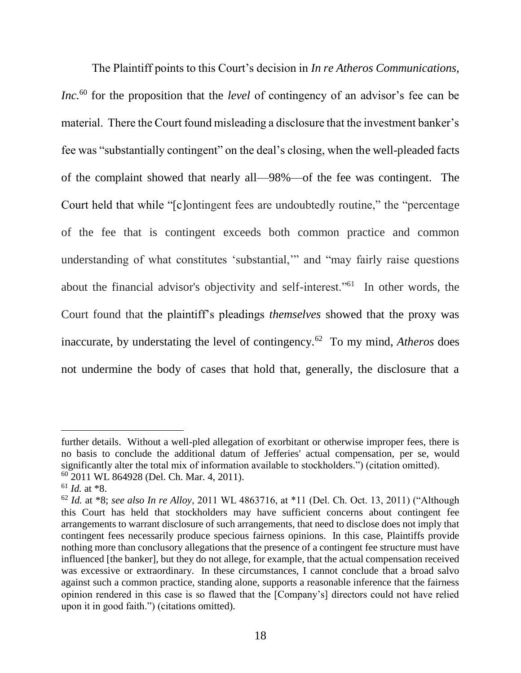The Plaintiff points to this Court's decision in *In re Atheros Communications, Inc.*<sup>60</sup> for the proposition that the *level* of contingency of an advisor's fee can be material. There the Court found misleading a disclosure that the investment banker's fee was "substantially contingent" on the deal's closing, when the well-pleaded facts of the complaint showed that nearly all—98%—of the fee was contingent. The Court held that while "[c]ontingent fees are undoubtedly routine," the "percentage of the fee that is contingent exceeds both common practice and common understanding of what constitutes 'substantial,'" and "may fairly raise questions about the financial advisor's objectivity and self-interest."<sup>61</sup> In other words, the Court found that the plaintiff's pleadings *themselves* showed that the proxy was inaccurate, by understating the level of contingency.<sup>62</sup> To my mind, *Atheros* does not undermine the body of cases that hold that, generally, the disclosure that a

further details. Without a well-pled allegation of exorbitant or otherwise improper fees, there is no basis to conclude the additional datum of Jefferies' actual compensation, per se, would significantly alter the total mix of information available to stockholders.") (citation omitted). <sup>60</sup> 2011 WL 864928 (Del. Ch. Mar. 4, 2011).

<sup>61</sup> *Id.* at \*8.

<sup>62</sup> *Id.* at \*8; *see also In re Alloy*, 2011 WL 4863716, at \*11 (Del. Ch. Oct. 13, 2011) ("Although this Court has held that stockholders may have sufficient concerns about contingent fee arrangements to warrant disclosure of such arrangements, that need to disclose does not imply that contingent fees necessarily produce specious fairness opinions. In this case, Plaintiffs provide nothing more than conclusory allegations that the presence of a contingent fee structure must have influenced [the banker], but they do not allege, for example, that the actual compensation received was excessive or extraordinary. In these circumstances, I cannot conclude that a broad salvo against such a common practice, standing alone, supports a reasonable inference that the fairness opinion rendered in this case is so flawed that the [Company's] directors could not have relied upon it in good faith.") (citations omitted).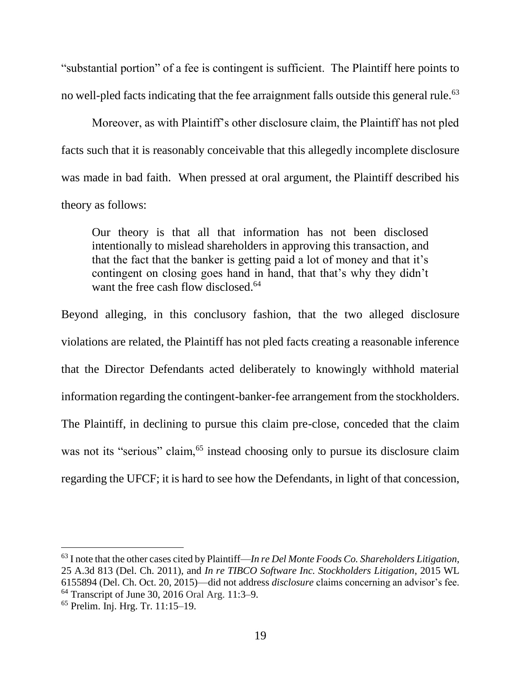"substantial portion" of a fee is contingent is sufficient. The Plaintiff here points to no well-pled facts indicating that the fee arraignment falls outside this general rule.<sup>63</sup>

Moreover, as with Plaintiff's other disclosure claim, the Plaintiff has not pled facts such that it is reasonably conceivable that this allegedly incomplete disclosure was made in bad faith. When pressed at oral argument, the Plaintiff described his theory as follows:

Our theory is that all that information has not been disclosed intentionally to mislead shareholders in approving this transaction, and that the fact that the banker is getting paid a lot of money and that it's contingent on closing goes hand in hand, that that's why they didn't want the free cash flow disclosed.<sup>64</sup>

Beyond alleging, in this conclusory fashion, that the two alleged disclosure violations are related, the Plaintiff has not pled facts creating a reasonable inference that the Director Defendants acted deliberately to knowingly withhold material information regarding the contingent-banker-fee arrangement from the stockholders. The Plaintiff, in declining to pursue this claim pre-close, conceded that the claim was not its "serious" claim,<sup>65</sup> instead choosing only to pursue its disclosure claim regarding the UFCF; it is hard to see how the Defendants, in light of that concession,

<sup>63</sup> I note that the other cases cited by Plaintiff—*In re Del Monte Foods Co. Shareholders Litigation*, 25 A.3d 813 (Del. Ch. 2011), and *In re TIBCO Software Inc. Stockholders Litigation*, 2015 WL 6155894 (Del. Ch. Oct. 20, 2015)—did not address *disclosure* claims concerning an advisor's fee. <sup>64</sup> Transcript of June 30, 2016 Oral Arg. 11:3–9.

<sup>65</sup> Prelim. Inj. Hrg. Tr. 11:15–19.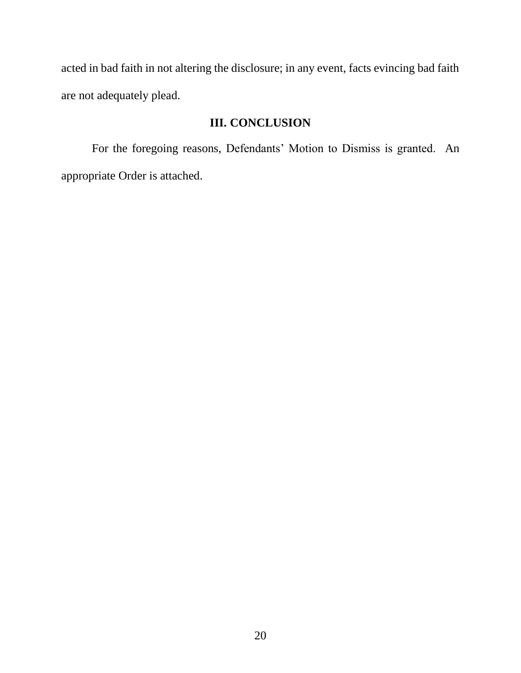acted in bad faith in not altering the disclosure; in any event, facts evincing bad faith are not adequately plead.

# **III. CONCLUSION**

For the foregoing reasons, Defendants' Motion to Dismiss is granted. An appropriate Order is attached.